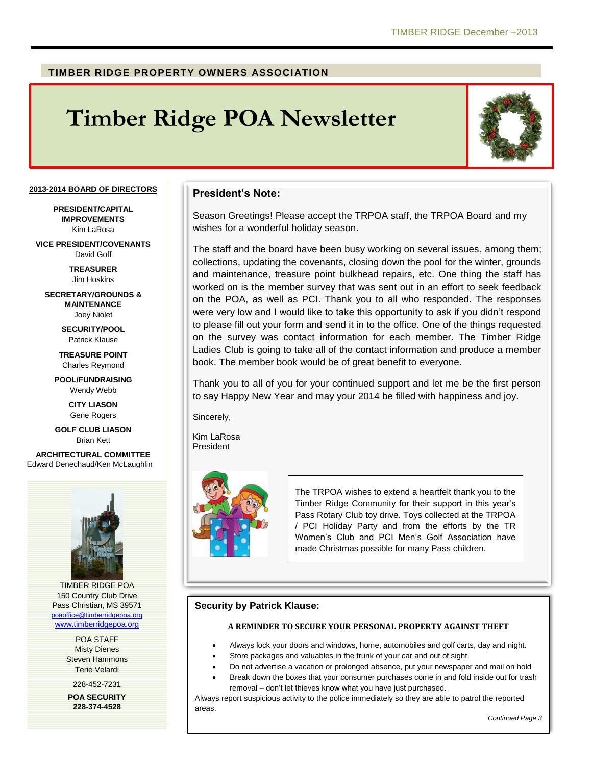## **TIMBER RIDGE PROPERTY OWNERS ASSOCIATION**

# **Timber Ridge POA Newsletter**



#### **2013-2014 BOARD OF DIRECTORS**

**PRESIDENT/CAPITAL IMPROVEMENTS** Kim LaRosa

**VICE PRESIDENT/COVENANTS** David Goff

> **TREASURER** Jim Hoskins

**SECRETARY/GROUNDS & MAINTENANCE** Joey Niolet

> **SECURITY/POOL** Patrick Klause

**TREASURE POINT** Charles Reymond

**POOL/FUNDRAISING** Wendy Webb

> **CITY LIASON** Gene Rogers

**GOLF CLUB LIASON** Brian Kett

**ARCHITECTURAL COMMITTEE** Edward Denechaud/Ken McLaughlin



TIMBER RIDGE POA 150 Country Club Drive Pass Christian, MS 39571 [poaoffice@timberridgepoa.org](mailto:poaoffice@timberridgepoa.org) [www.timberridgepoa.org](http://www.timberridgepoa.org/)

> POA STAFF Misty Dienes Steven Hammons Terie Velardi

228-452-7231 **POA SECURITY 228-374-4528**

## **President's Note:**

Season Greetings! Please accept the TRPOA staff, the TRPOA Board and my wishes for a wonderful holiday season.

The staff and the board have been busy working on several issues, among them; collections, updating the covenants, closing down the pool for the winter, grounds and maintenance, treasure point bulkhead repairs, etc. One thing the staff has worked on is the member survey that was sent out in an effort to seek feedback on the POA, as well as PCI. Thank you to all who responded. The responses were very low and I would like to take this opportunity to ask if you didn't respond to please fill out your form and send it in to the office. One of the things requested on the survey was contact information for each member. The Timber Ridge Ladies Club is going to take all of the contact information and produce a member book. The member book would be of great benefit to everyone.

Thank you to all of you for your continued support and let me be the first person to say Happy New Year and may your 2014 be filled with happiness and joy.

Sincerely,

Kim LaRosa President



The TRPOA wishes to extend a heartfelt thank you to the Timber Ridge Community for their support in this year's Pass Rotary Club toy drive. Toys collected at the TRPOA / PCI Holiday Party and from the efforts by the TR Women's Club and PCI Men's Golf Association have made Christmas possible for many Pass children.

#### **Security by Patrick Klause:**

#### **A REMINDER TO SECURE YOUR PERSONAL PROPERTY AGAINST THEFT**

- Always lock your doors and windows, home, automobiles and golf carts, day and night.
- Store packages and valuables in the trunk of your car and out of sight.
- Do not advertise a vacation or prolonged absence, put your newspaper and mail on hold
	- Break down the boxes that your consumer purchases come in and fold inside out for trash removal – don't let thieves know what you have just purchased.

Always report suspicious activity to the police immediately so they are able to patrol the reported areas.

*Continued Page 3*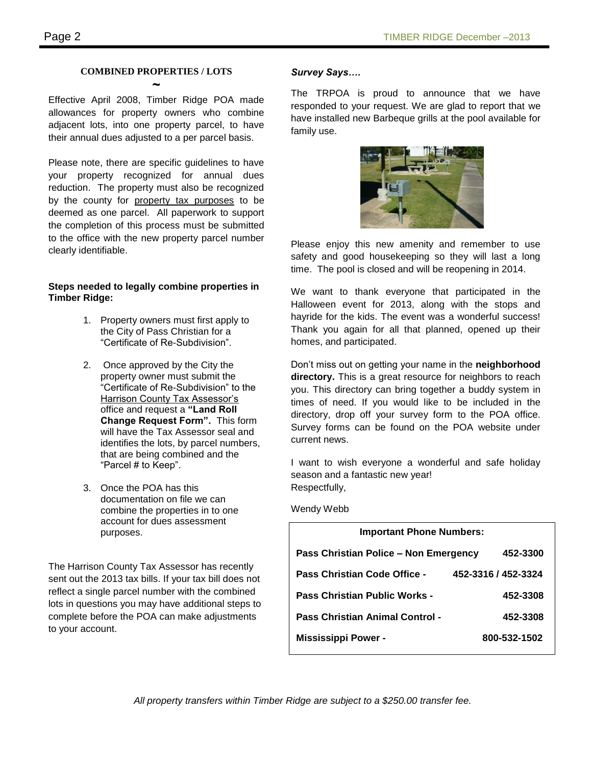# **COMBINED PROPERTIES / LOTS ~**

Effective April 2008, Timber Ridge POA made allowances for property owners who combine adjacent lots, into one property parcel, to have their annual dues adjusted to a per parcel basis.

Please note, there are specific guidelines to have your property recognized for annual dues reduction. The property must also be recognized by the county for property tax purposes to be deemed as one parcel. All paperwork to support the completion of this process must be submitted to the office with the new property parcel number clearly identifiable.

#### **Steps needed to legally combine properties in Timber Ridge:**

- 1. Property owners must first apply to the City of Pass Christian for a "Certificate of Re-Subdivision".
- 2. Once approved by the City the property owner must submit the "Certificate of Re-Subdivision" to the **Harrison County Tax Assessor's** office and request a **"Land Roll Change Request Form".** This form will have the Tax Assessor seal and identifies the lots, by parcel numbers, that are being combined and the "Parcel # to Keep".
- 3. Once the POA has this documentation on file we can combine the properties in to one account for dues assessment purposes.

The Harrison County Tax Assessor has recently sent out the 2013 tax bills. If your tax bill does not reflect a single parcel number with the combined lots in questions you may have additional steps to complete before the POA can make adjustments to your account.

### *Survey Says….*

The TRPOA is proud to announce that we have responded to your request. We are glad to report that we have installed new Barbeque grills at the pool available for family use.



Please enjoy this new amenity and remember to use safety and good housekeeping so they will last a long time. The pool is closed and will be reopening in 2014.

We want to thank everyone that participated in the Halloween event for 2013, along with the stops and hayride for the kids. The event was a wonderful success! Thank you again for all that planned, opened up their homes, and participated.

Don't miss out on getting your name in the **neighborhood directory.** This is a great resource for neighbors to reach you. This directory can bring together a buddy system in times of need. If you would like to be included in the directory, drop off your survey form to the POA office. Survey forms can be found on the POA website under current news.

I want to wish everyone a wonderful and safe holiday season and a fantastic new year! Respectfully,

Wendy Webb

| <b>Important Phone Numbers:</b>                     |              |
|-----------------------------------------------------|--------------|
| Pass Christian Police – Non Emergency               | 452-3300     |
| Pass Christian Code Office -<br>452-3316 / 452-3324 |              |
| <b>Pass Christian Public Works -</b>                | 452-3308     |
| <b>Pass Christian Animal Control -</b>              | 452-3308     |
| <b>Mississippi Power -</b>                          | 800-532-1502 |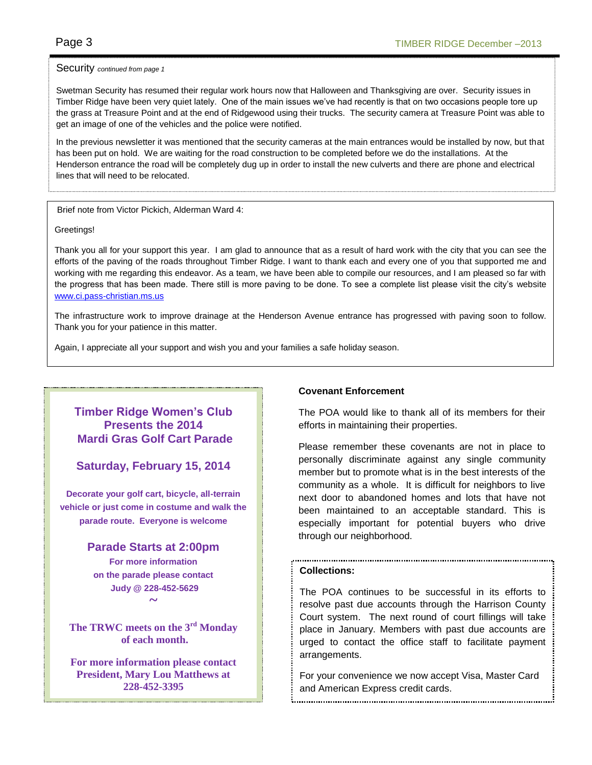#### Security *continued from page 1*

Swetman Security has resumed their regular work hours now that Halloween and Thanksgiving are over. Security issues in Timber Ridge have been very quiet lately. One of the main issues we've had recently is that on two occasions people tore up the grass at Treasure Point and at the end of Ridgewood using their trucks. The security camera at Treasure Point was able to get an image of one of the vehicles and the police were notified.

In the previous newsletter it was mentioned that the security cameras at the main entrances would be installed by now, but that has been put on hold. We are waiting for the road construction to be completed before we do the installations. At the Henderson entrance the road will be completely dug up in order to install the new culverts and there are phone and electrical lines that will need to be relocated.

Brief note from Victor Pickich, Alderman Ward 4:

#### Greetings!

Thank you all for your support this year. I am glad to announce that as a result of hard work with the city that you can see the efforts of the paving of the roads throughout Timber Ridge. I want to thank each and every one of you that supported me and working with me regarding this endeavor. As a team, we have been able to compile our resources, and I am pleased so far with the progress that has been made. There still is more paving to be done. To see a complete list please visit the city's website [www.ci.pass-christian.ms.us](http://www.ci.pass-christian.ms.us/)

The infrastructure work to improve drainage at the Henderson Avenue entrance has progressed with paving soon to follow. Thank you for your patience in this matter.

Again, I appreciate all your support and wish you and your families a safe holiday season.

# **Timber Ridge Women's Club Presents the 2014 Mardi Gras Golf Cart Parade**

**Saturday, February 15, 2014**

**Decorate your golf cart, bicycle, all-terrain vehicle or just come in costume and walk the parade route. Everyone is welcome**

> **Parade Starts at 2:00pm For more information on the parade please contact Judy @ 228-452-5629 ~**

**The TRWC meets on the 3rd Monday of each month.**

**For more information please contact President, Mary Lou Matthews at 228-452-3395**

## **Covenant Enforcement**

The POA would like to thank all of its members for their efforts in maintaining their properties.

Please remember these covenants are not in place to personally discriminate against any single community member but to promote what is in the best interests of the community as a whole. It is difficult for neighbors to live next door to abandoned homes and lots that have not been maintained to an acceptable standard. This is especially important for potential buyers who drive through our neighborhood.

#### **Collections:**

The POA continues to be successful in its efforts to resolve past due accounts through the Harrison County Court system. The next round of court fillings will take place in January. Members with past due accounts are urged to contact the office staff to facilitate payment arrangements.

For your convenience we now accept Visa, Master Card and American Express credit cards.